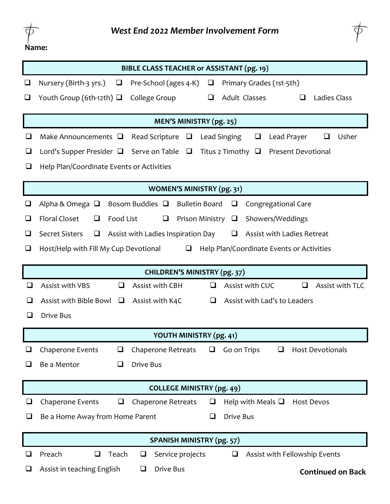



|                                  | BIBLE CLASS TEACHER or ASSISTANT (pg. 19)                                                                           |  |  |  |  |  |
|----------------------------------|---------------------------------------------------------------------------------------------------------------------|--|--|--|--|--|
| $\overline{\phantom{a}}$         | Nursery (Birth-3 yrs.)<br>Pre-School (ages 4-K)<br>Primary Grades (1st-5th)<br>$\Box$<br>⊔                          |  |  |  |  |  |
|                                  | Youth Group (6th-12th) $\Box$<br>Adult Classes<br>College Group<br>Ladies Class<br>❏<br>ப                           |  |  |  |  |  |
|                                  | <b>MEN'S MINISTRY (pg. 25)</b>                                                                                      |  |  |  |  |  |
| ⊔                                | Make Announcements $\Box$<br>Lead Singing<br>Lead Prayer<br>Usher<br>Read Scripture<br>❏<br>$\Box$                  |  |  |  |  |  |
| ⊔                                | Serve on Table<br>Titus 2 Timothy<br><b>Present Devotional</b><br>Lord's Supper Presider $\Box$<br>$\Box$<br>$\Box$ |  |  |  |  |  |
| ⊔                                | Help Plan/Coordinate Events or Activities                                                                           |  |  |  |  |  |
|                                  | <b>WOMEN'S MINISTRY (pg. 31)</b>                                                                                    |  |  |  |  |  |
| ⊔                                | Alpha & Omega $\Box$<br>Bosom Buddies $\Box$<br><b>Bulletin Board</b><br>Congregational Care<br>❏                   |  |  |  |  |  |
| ⊔                                | <b>Floral Closet</b><br>Food List<br>Prison Ministry<br>Showers/Weddings<br>❏<br>❏<br>$\Box$                        |  |  |  |  |  |
| ❏                                | <b>Secret Sisters</b><br>Assist with Ladies Inspiration Day<br>$\Box$<br>Assist with Ladies Retreat<br>⊔            |  |  |  |  |  |
| ❏                                | Host/Help with Fill My Cup Devotional<br>Help Plan/Coordinate Events or Activities<br>❏                             |  |  |  |  |  |
|                                  | <b>CHILDREN'S MINISTRY (pg. 37)</b>                                                                                 |  |  |  |  |  |
| $\sqcup$                         | Assist with TLC<br>Assist with VBS<br>Assist with CBH<br>Assist with CUC<br>❏<br>❏<br>$\Box$                        |  |  |  |  |  |
|                                  | Assist with Bible Bowl<br>Assist with Lad's to Leaders<br>$\Box$<br>Assist with K4C<br>❏                            |  |  |  |  |  |
|                                  | <b>Drive Bus</b>                                                                                                    |  |  |  |  |  |
|                                  | YOUTH MINISTRY (pg. 41)                                                                                             |  |  |  |  |  |
| ⊔                                | Go on Trips<br>Chaperone Events<br>Chaperone Retreats<br><b>Host Devotionals</b><br>❏<br>⊔<br>$\Box$                |  |  |  |  |  |
| ⊔                                | Drive Bus<br>Be a Mentor<br>❏                                                                                       |  |  |  |  |  |
| <b>COLLEGE MINISTRY (pg. 49)</b> |                                                                                                                     |  |  |  |  |  |
|                                  | <b>Chaperone Events</b><br><b>Chaperone Retreats</b><br>Help with Meals $\Box$<br><b>Host Devos</b><br>❏<br>⊔       |  |  |  |  |  |
| ⊔                                | Drive Bus<br>Be a Home Away from Home Parent<br>❏                                                                   |  |  |  |  |  |
| <b>SPANISH MINISTRY (pg. 57)</b> |                                                                                                                     |  |  |  |  |  |
| $\sqcup$                         | Assist with Fellowship Events<br>Preach<br>$\Box$<br>Teach<br>Service projects<br>$\Box$<br>❏                       |  |  |  |  |  |
|                                  | Drive Bus<br>Assist in teaching English<br>❏<br><b>Continued on Back</b>                                            |  |  |  |  |  |